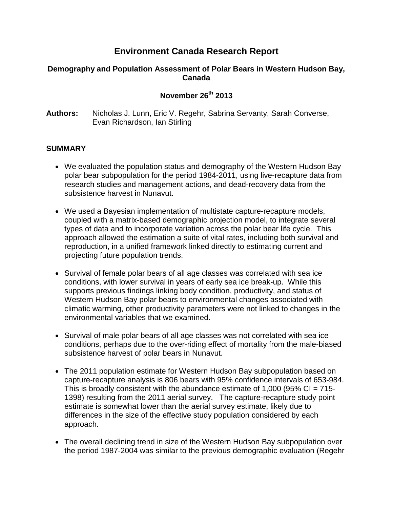## **Environment Canada Research Report**

## **Demography and Population Assessment of Polar Bears in Western Hudson Bay, Canada**

## **November 26th 2013**

**Authors:** Nicholas J. Lunn, Eric V. Regehr, Sabrina Servanty, Sarah Converse, Evan Richardson, Ian Stirling

## **SUMMARY**

- We evaluated the population status and demography of the Western Hudson Bay polar bear subpopulation for the period 1984-2011, using live-recapture data from research studies and management actions, and dead-recovery data from the subsistence harvest in Nunavut.
- We used a Bayesian implementation of multistate capture-recapture models, coupled with a matrix-based demographic projection model, to integrate several types of data and to incorporate variation across the polar bear life cycle. This approach allowed the estimation a suite of vital rates, including both survival and reproduction, in a unified framework linked directly to estimating current and projecting future population trends.
- Survival of female polar bears of all age classes was correlated with sea ice conditions, with lower survival in years of early sea ice break-up. While this supports previous findings linking body condition, productivity, and status of Western Hudson Bay polar bears to environmental changes associated with climatic warming, other productivity parameters were not linked to changes in the environmental variables that we examined.
- Survival of male polar bears of all age classes was not correlated with sea ice conditions, perhaps due to the over-riding effect of mortality from the male-biased subsistence harvest of polar bears in Nunavut.
- The 2011 population estimate for Western Hudson Bay subpopulation based on capture-recapture analysis is 806 bears with 95% confidence intervals of 653-984. This is broadly consistent with the abundance estimate of 1,000 (95%  $CI = 715$ -1398) resulting from the 2011 aerial survey. The capture-recapture study point estimate is somewhat lower than the aerial survey estimate, likely due to differences in the size of the effective study population considered by each approach.
- The overall declining trend in size of the Western Hudson Bay subpopulation over the period 1987-2004 was similar to the previous demographic evaluation (Regehr